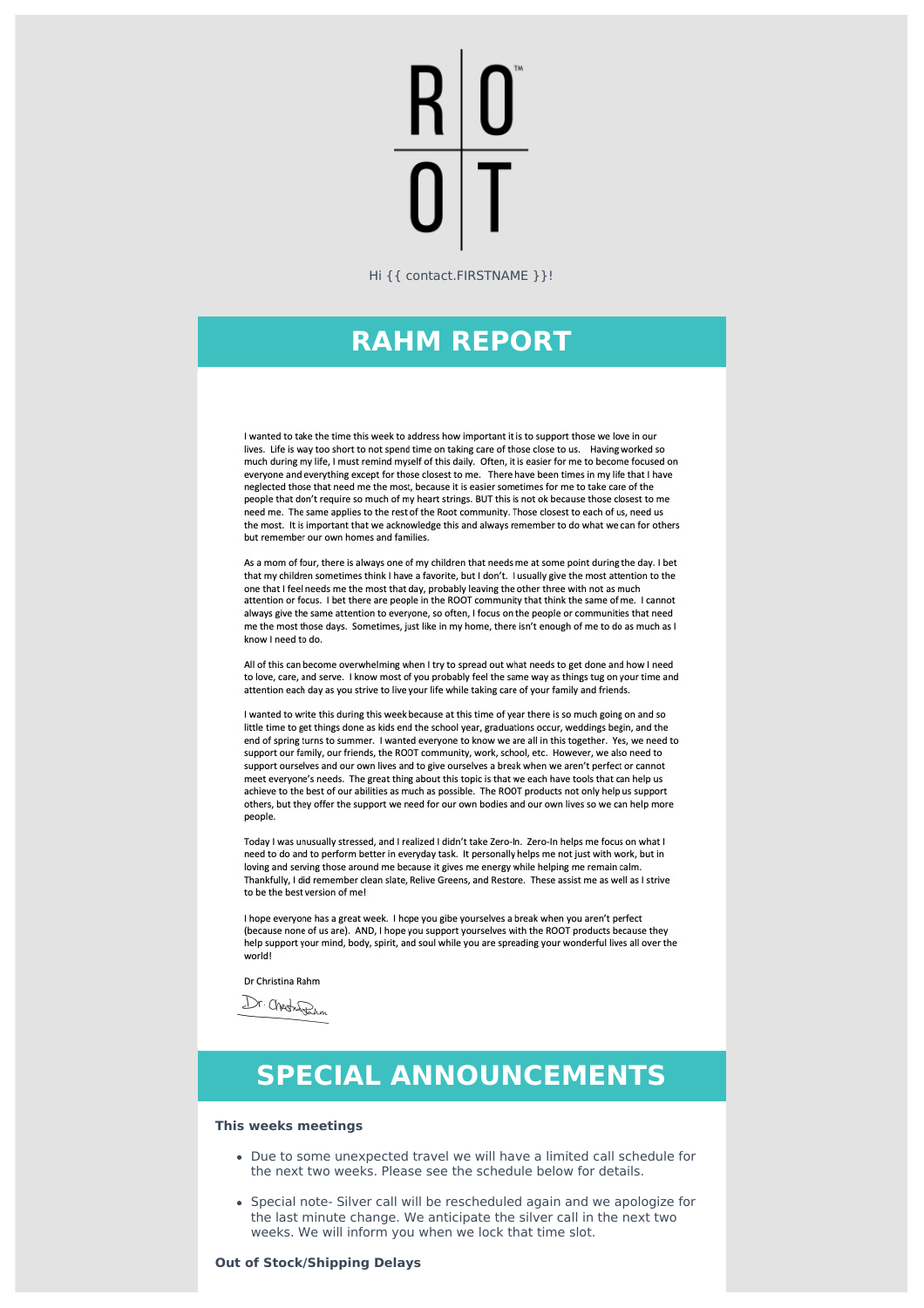Hi {{ contact.FIRSTNAME }}!

## **RAHM REPORT**

I wanted to take the time this week to address how important it is to support those we love in our lives. Life is way too short to not spend time on taking care of those close to us. Having worked so much during my life, I must remind myself of this daily. Often, it is easier for me to become focused on everyone and everything except for those closest to me. There have been times in my life that I have neglected those that need me the most, because it is easier sometimes for me to take care of the people that don't require so much of my heart strings. BUT this is not ok because those closest to me need me. The same applies to the rest of the Root community. Those closest to each of us, need us the most. It is important that we acknowledge this and always remember to do what we can for others but remember our own homes and families.

As a mom of four, there is always one of my children that needs me at some point during the day. I bet that my children sometimes think I have a favorite, but I don't. I usually give the most attention to the one that I feel needs me the most that day, probably leaving the other three with not as much attention or focus. I bet there are people in the ROOT community that think the same of me. I cannot always give the same attention to everyone, so often, I focus on the people or communities that need me the most those days. Sometimes, just like in my home, there isn't enough of me to do as much as I know I need to do.

All of this can become overwhelming when I try to spread out what needs to get done and how I need to love, care, and serve. I know most of you probably feel the same way as things tug on your time and attention each day as you strive to live your life while taking care of your family and friends.

I wanted to write this during this week because at this time of year there is so much going on and so little time to get things done as kids end the school year, graduations occur, weddings begin, and the end of spring turns to summer. I wanted everyone to know we are all in this together. Yes, we need to support our family, our friends, the ROOT community, work, school, etc. However, we also need to support ourselves and our own lives and to give ourselves a break when we aren't perfect or cannot meet everyone's needs. The great thing about this topic is that we each have tools that can help us achieve to the best of our abilities as much as possible. The ROOT products not only help us support others, but they offer the support we need for our own bodies and our own lives so we can help more people.

Today I was unusually stressed, and I realized I didn't take Zero-In. Zero-In helps me focus on what I need to do and to perform better in everyday task. It personally helps me not just with work, but in loving and serving those around me because it gives me energy while helping me remain calm. Thankfully, I did remember clean slate, Relive Greens, and Restore. These assist me as well as I strive to be the best version of me!

I hope everyone has a great week. I hope you gibe yourselves a break when you aren't perfect (because none of us are). AND, I hope you support yourselves with the ROOT products because they help support your mind, body, spirit, and soul while you are spreading your wonderful lives all over the world!

Dr Christina Rahm

Dr. Chechen

# **SPECIAL ANNOUNCEMENTS**

#### **This weeks meetings**

- Due to some unexpected travel we will have a limited call schedule for the next two weeks. Please see the schedule below for details.
- Special note- Silver call will be rescheduled again and we apologize for the last minute change. We anticipate the silver call in the next two weeks. We will inform you when we lock that time slot.

#### **Out of Stock/Shipping Delays**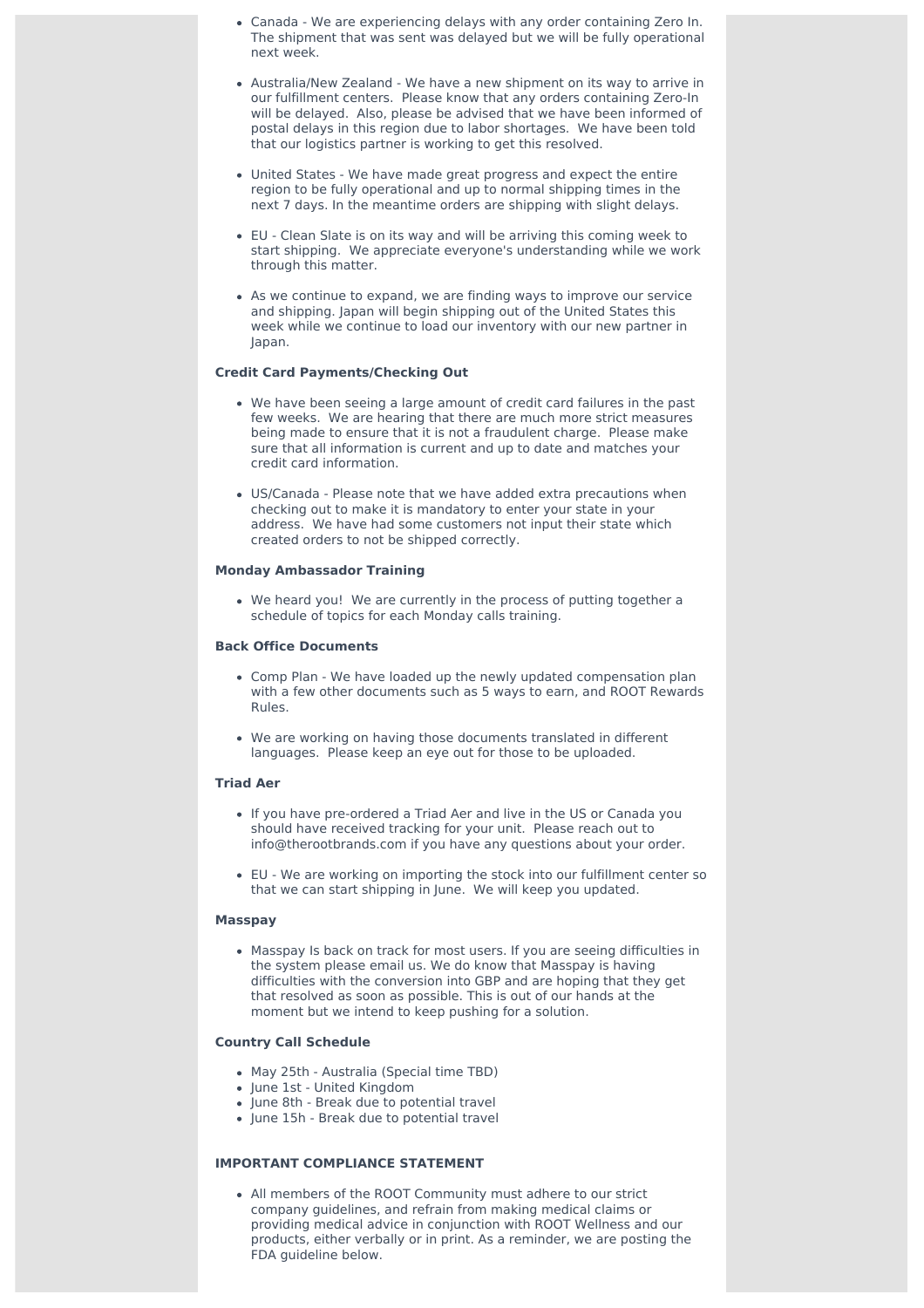- Canada We are experiencing delays with any order containing Zero In. The shipment that was sent was delayed but we will be fully operational next week.
- Australia/New Zealand We have a new shipment on its way to arrive in our fulfillment centers. Please know that any orders containing Zero-In will be delayed. Also, please be advised that we have been informed of postal delays in this region due to labor shortages. We have been told that our logistics partner is working to get this resolved.
- United States We have made great progress and expect the entire region to be fully operational and up to normal shipping times in the next 7 days. In the meantime orders are shipping with slight delays.
- EU Clean Slate is on its way and will be arriving this coming week to start shipping. We appreciate everyone's understanding while we work through this matter.
- As we continue to expand, we are finding ways to improve our service and shipping. Japan will begin shipping out of the United States this week while we continue to load our inventory with our new partner in Japan.

### **Credit Card Payments/Checking Out**

- We have been seeing a large amount of credit card failures in the past few weeks. We are hearing that there are much more strict measures being made to ensure that it is not a fraudulent charge. Please make sure that all information is current and up to date and matches your credit card information.
- US/Canada Please note that we have added extra precautions when checking out to make it is mandatory to enter your state in your address. We have had some customers not input their state which created orders to not be shipped correctly.

#### **Monday Ambassador Training**

We heard you! We are currently in the process of putting together a schedule of topics for each Monday calls training.

#### **Back Office Documents**

- Comp Plan We have loaded up the newly updated compensation plan with a few other documents such as 5 ways to earn, and ROOT Rewards Rules.
- We are working on having those documents translated in different languages. Please keep an eye out for those to be uploaded.

#### **Triad Aer**

- If you have pre-ordered a Triad Aer and live in the US or Canada you should have received tracking for your unit. Please reach out to info@therootbrands.com if you have any questions about your order.
- EU We are working on importing the stock into our fulfillment center so that we can start shipping in June. We will keep you updated.

#### **Masspay**

Masspay Is back on track for most users. If you are seeing difficulties in the system please email us. We do know that Masspay is having difficulties with the conversion into GBP and are hoping that they get that resolved as soon as possible. This is out of our hands at the moment but we intend to keep pushing for a solution.

#### **Country Call Schedule**

- May 25th Australia (Special time TBD)
- June 1st United Kingdom
- June 8th Break due to potential travel
- June 15h Break due to potential travel

### **IMPORTANT COMPLIANCE STATEMENT**

All members of the ROOT Community must adhere to our strict company guidelines, and refrain from making medical claims or providing medical advice in conjunction with ROOT Wellness and our products, either verbally or in print. As a reminder, we are posting the FDA guideline below.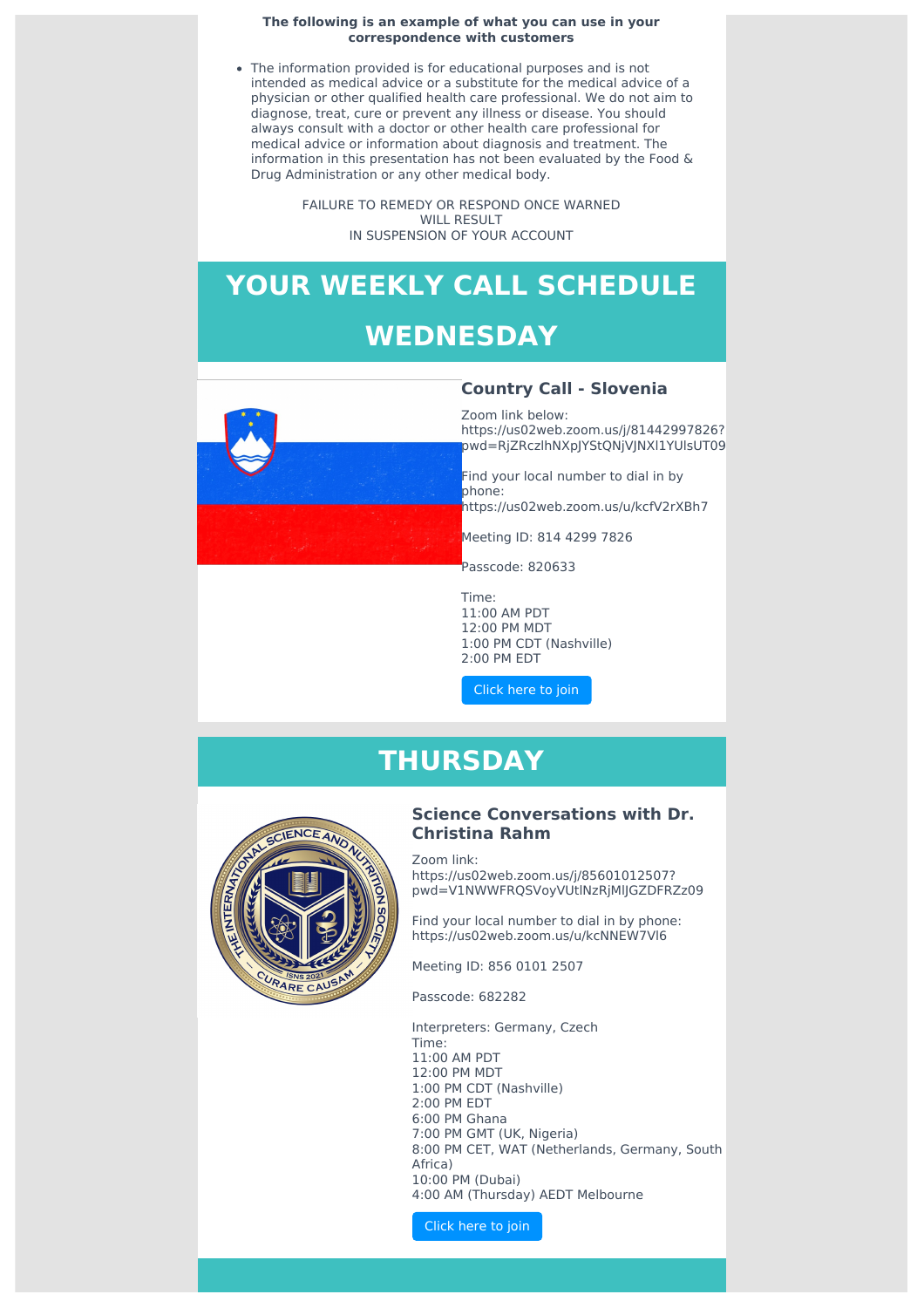#### **The following is an example of what you can use in your correspondence with customers**

The information provided is for educational purposes and is not intended as medical advice or a substitute for the medical advice of a physician or other qualified health care professional. We do not aim to diagnose, treat, cure or prevent any illness or disease. You should always consult with a doctor or other health care professional for medical advice or information about diagnosis and treatment. The information in this presentation has not been evaluated by the Food & Drug Administration or any other medical body.

> FAILURE TO REMEDY OR RESPOND ONCE WARNED WILL RESULT IN SUSPENSION OF YOUR ACCOUNT

# **YOUR WEEKLY CALL SCHEDULE WEDNESDAY**



### **Country Call - Slovenia**

Zoom link below: https://us02web.zoom.us/j/81442997826? pwd=RjZRczlhNXpJYStQNjVJNXl1YUlsUT09

Find your local number to dial in by phone: https://us02web.zoom.us/u/kcfV2rXBh7

Meeting ID: 814 4299 7826

Passcode: 820633

Time: 11:00 AM PDT 12:00 PM MDT 1:00 PM CDT (Nashville) 2:00 PM EDT

[Click](https://us02web.zoom.us/j/81442997826?pwd=RjZRczlhNXpJYStQNjVJNXl1YUlsUT09) here to join

### **THURSDAY**



### **Science Conversations with Dr. Christina Rahm**

Zoom link: https://us02web.zoom.us/j/85601012507? pwd=V1NWWFRQSVoyVUtlNzRjMlJGZDFRZz09

Find your local number to dial in by phone: https://us02web.zoom.us/u/kcNNEW7Vl6

Meeting ID: 856 0101 2507

Passcode: 682282

Interpreters: Germany, Czech Time: 11:00 AM PDT 12:00 PM MDT 1:00 PM CDT (Nashville) 2:00 PM EDT 6:00 PM Ghana 7:00 PM GMT (UK, Nigeria) 8:00 PM CET, WAT (Netherlands, Germany, South Africa) 10:00 PM (Dubai) 4:00 AM (Thursday) AEDT Melbourne

[Click](https://us02web.zoom.us/j/85601012507?pwd=V1NWWFRQSVoyVUtlNzRjMlJGZDFRZz09) here to join